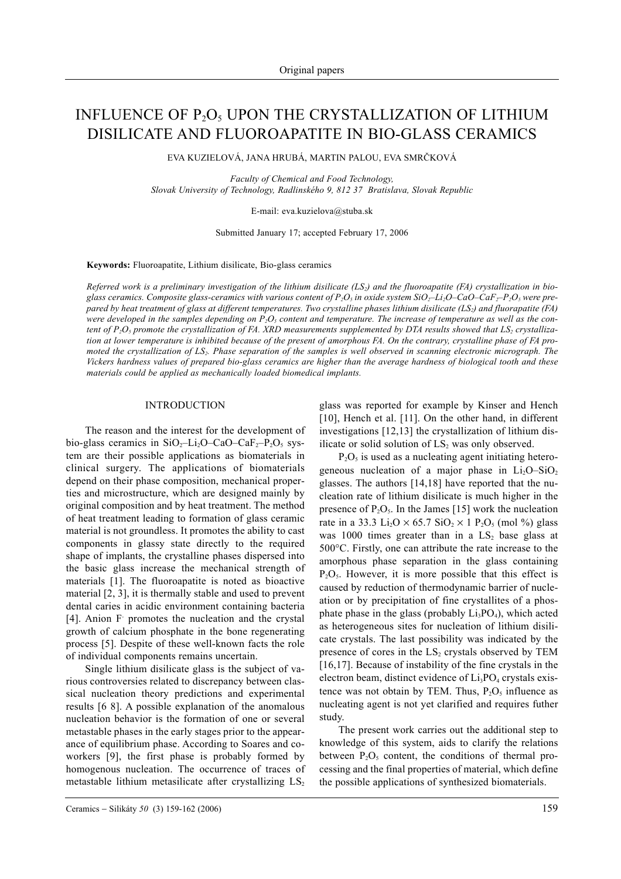# INFLUENCE OF  $P_2O_5$  UPON THE CRYSTALLIZATION OF LITHIUM DISILICATE AND FLUOROAPATITE IN BIO-GLASS CERAMICS

EVA KUZIELOVÁ, JANA HRUBÁ, MARTIN PALOU, EVA SMRÈKOVÁ

*Faculty of Chemical and Food Technology, Slovak University of Technology, Radlinského 9, 812 37 Bratislava, Slovak Republic*

E-mail: eva.kuzielova@stuba.sk

Submitted January 17; accepted February 17, 2006

**Keywords:** Fluoroapatite, Lithium disilicate, Bio-glass ceramics

*Referred work is a preliminary investigation of the lithium disilicate (LS2) and the fluoroapatite (FA) crystallization in bioglass ceramics. Composite glass-ceramics with various content of*  $P_2O_5$  *in oxide system SiO<sub>2</sub>–Li<sub>2</sub>O–CaO–CaF<sub>2</sub>–* $P_2O_5$  *were prepared by heat treatment of glass at different temperatures. Two crystalline phases lithium disilicate (LS2) and fluorapatite (FA)* were developed in the samples depending on  $P_2O_5$  content and temperature. The increase of temperature as well as the content of  $P_2O_5$  promote the crystallization of FA. XRD measurements supplemented by DTA results showed that  $LS_2$  crystalliza*tion at lower temperature is inhibited because of the present of amorphous FA. On the contrary, crystalline phase of FA promoted the crystallization of LS<sub>2</sub>. Phase separation of the samples is well observed in scanning electronic micrograph. The Vickers hardness values of prepared bio-glass ceramics are higher than the average hardness of biological tooth and these materials could be applied as mechanically loaded biomedical implants.*

## INTRODUCTION

The reason and the interest for the development of bio-glass ceramics in  $SiO_2$ -Li<sub>2</sub>O-CaO-CaF<sub>2</sub>-P<sub>2</sub>O<sub>5</sub> system are their possible applications as biomaterials in clinical surgery. The applications of biomaterials depend on their phase composition, mechanical properties and microstructure, which are designed mainly by original composition and by heat treatment. The method of heat treatment leading to formation of glass ceramic material is not groundless. It promotes the ability to cast components in glassy state directly to the required shape of implants, the crystalline phases dispersed into the basic glass increase the mechanical strength of materials [1]. The fluoroapatite is noted as bioactive material [2, 3], it is thermally stable and used to prevent dental caries in acidic environment containing bacteria [4]. Anion F- promotes the nucleation and the crystal growth of calcium phosphate in the bone regenerating process [5]. Despite of these well-known facts the role of individual components remains uncertain.

Single lithium disilicate glass is the subject of various controversies related to discrepancy between classical nucleation theory predictions and experimental results [6 8]. A possible explanation of the anomalous nucleation behavior is the formation of one or several metastable phases in the early stages prior to the appearance of equilibrium phase. According to Soares and coworkers [9], the first phase is probably formed by homogenous nucleation. The occurrence of traces of metastable lithium metasilicate after crystallizing  $LS_2$  glass was reported for example by Kinser and Hench [10], Hench et al. [11]. On the other hand, in different investigations [12,13] the crystallization of lithium disilicate or solid solution of  $LS_2$  was only observed.

 $P_2O_5$  is used as a nucleating agent initiating heterogeneous nucleation of a major phase in  $Li<sub>2</sub>O-SiO<sub>2</sub>$ glasses. The authors [14,18] have reported that the nucleation rate of lithium disilicate is much higher in the presence of  $P_2O_5$ . In the James [15] work the nucleation rate in a 33.3 Li<sub>2</sub>O  $\times$  65.7 SiO<sub>2</sub>  $\times$  1 P<sub>2</sub>O<sub>5</sub> (mol %) glass was 1000 times greater than in a  $LS_2$  base glass at 500°C. Firstly, one can attribute the rate increase to the amorphous phase separation in the glass containing  $P_2O_5$ . However, it is more possible that this effect is caused by reduction of thermodynamic barrier of nucleation or by precipitation of fine crystallites of a phosphate phase in the glass (probably  $Li<sub>3</sub>PO<sub>4</sub>$ ), which acted as heterogeneous sites for nucleation of lithium disilicate crystals. The last possibility was indicated by the presence of cores in the  $LS_2$  crystals observed by TEM [16,17]. Because of instability of the fine crystals in the electron beam, distinct evidence of  $Li<sub>3</sub>PO<sub>4</sub>$  crystals existence was not obtain by TEM. Thus,  $P_2O_5$  influence as nucleating agent is not yet clarified and requires futher study.

The present work carries out the additional step to knowledge of this system, aids to clarify the relations between  $P_2O_5$  content, the conditions of thermal processing and the final properties of material, which define the possible applications of synthesized biomaterials.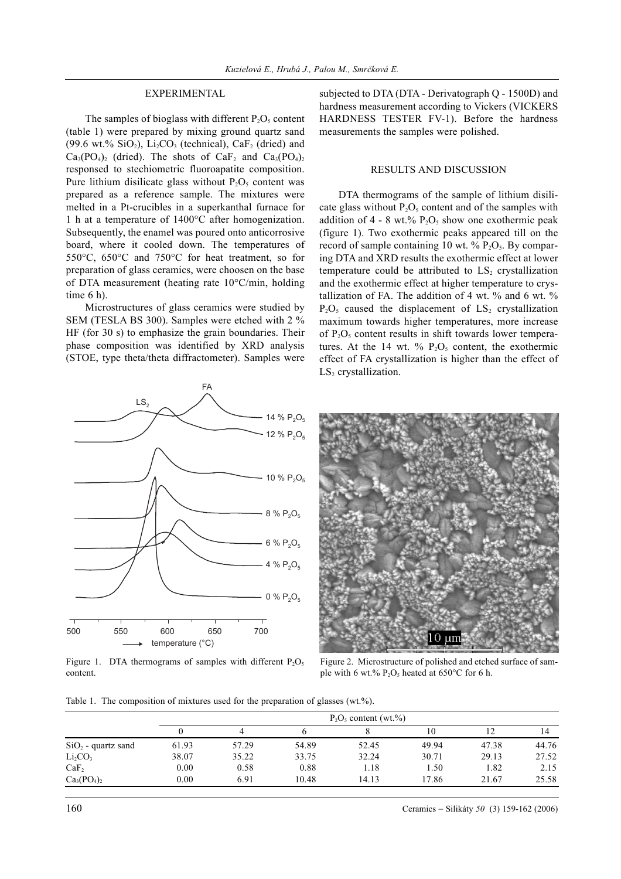# EXPERIMENTAL

The samples of bioglass with different  $P_2O_5$  content (table 1) were prepared by mixing ground quartz sand (99.6 wt.%  $SiO<sub>2</sub>$ ), Li<sub>2</sub>CO<sub>3</sub> (technical), CaF<sub>2</sub> (dried) and  $Ca_3(PO_4)$ <sub>2</sub> (dried). The shots of  $Ca_5$  and  $Ca_3(PO_4)$ <sub>2</sub> responsed to stechiometric fluoroapatite composition. Pure lithium disilicate glass without  $P_2O_5$  content was prepared as a reference sample. The mixtures were melted in a Pt-crucibles in a superkanthal furnace for 1 h at a temperature of 1400°C after homogenization. Subsequently, the enamel was poured onto anticorrosive board, where it cooled down. The temperatures of 550°C, 650°C and 750°C for heat treatment, so for preparation of glass ceramics, were choosen on the base of DTA measurement (heating rate 10°C/min, holding time 6 h).

Microstructures of glass ceramics were studied by SEM (TESLA BS 300). Samples were etched with 2 % HF (for 30 s) to emphasize the grain boundaries. Their phase composition was identified by XRD analysis (STOE, type theta/theta diffractometer). Samples were

550 650 temperature (°C) 500 700 600 14  $% P_2O_5$ 12 %  $P_2O_5$  $10 \% P_2O_5$ 8 % P<sub>2</sub>O<sub>5</sub>  $6% P_2O_5$  $% P_2O_5$ 0 %  $P_2O_5$  $LS<sub>2</sub>$ FA

Figure 1. DTA thermograms of samples with different  $P_2O_5$ content.

subjected to DTA (DTA - Derivatograph Q - 1500D) and hardness measurement according to Vickers (VICKERS HARDNESS TESTER FV-1). Before the hardness measurements the samples were polished.

#### RESULTS AND DISCUSSION

DTA thermograms of the sample of lithium disilicate glass without  $P_2O_5$  content and of the samples with addition of  $4 - 8$  wt.%  $P_2O_5$  show one exothermic peak (figure 1). Two exothermic peaks appeared till on the record of sample containing 10 wt.  $\%$  P<sub>2</sub>O<sub>5</sub>. By comparing DTA and XRD results the exothermic effect at lower temperature could be attributed to  $LS_2$  crystallization and the exothermic effect at higher temperature to crystallization of FA. The addition of 4 wt. % and 6 wt. %  $P_2O_5$  caused the displacement of  $LS_2$  crystallization maximum towards higher temperatures, more increase of  $P_2O_5$  content results in shift towards lower temperatures. At the 14 wt. %  $P_2O_5$  content, the exothermic effect of FA crystallization is higher than the effect of  $LS<sub>2</sub>$  crystallization.



Figure 2. Microstructure of polished and etched surface of sample with 6 wt.%  $P_2O_5$  heated at 650°C for 6 h.

Table 1. The composition of mixtures used for the preparation of glasses (wt.%).

|                                 | $P_2O_5$ content (wt.%) |       |       |       |       |       |       |
|---------------------------------|-------------------------|-------|-------|-------|-------|-------|-------|
|                                 |                         |       |       |       | 10    |       | ، 4   |
| $SiO2$ - quartz sand            | 61.93                   | 57.29 | 54.89 | 52.45 | 49.94 | 47.38 | 44.76 |
| Li <sub>2</sub> CO <sub>3</sub> | 38.07                   | 35.22 | 33.75 | 32.24 | 30.71 | 29.13 | 27.52 |
| CaF <sub>2</sub>                | 0.00                    | 0.58  | 0.88  | 1.18  | 1.50  | 1.82  | 2.15  |
| $Ca3(PO4)2$                     | 0.00                    | 6.91  | 10.48 | 14.13 | 17.86 | 21.67 | 25.58 |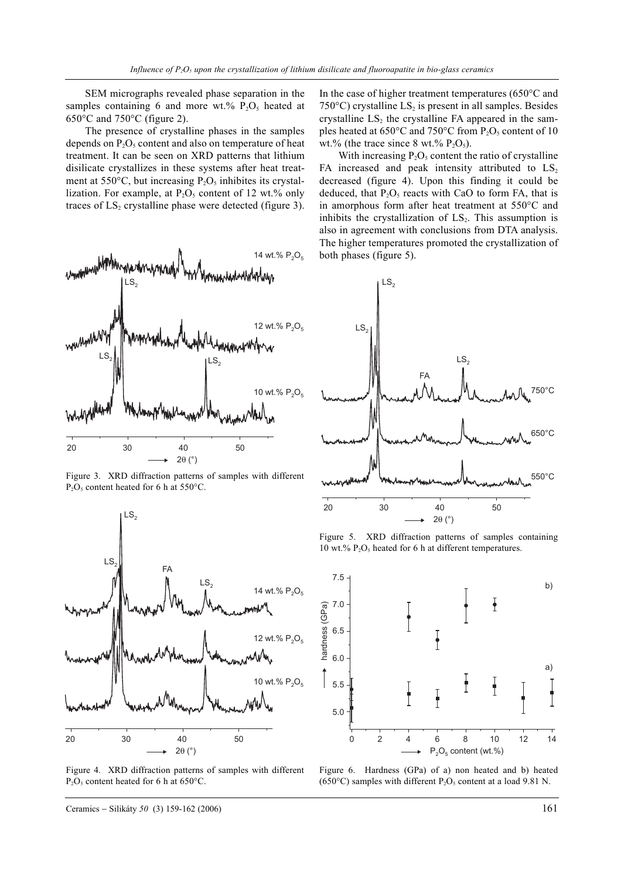SEM micrographs revealed phase separation in the samples containing 6 and more wt.%  $P_2O_5$  heated at  $650^{\circ}$ C and  $750^{\circ}$ C (figure 2).

The presence of crystalline phases in the samples depends on  $P_2O_5$  content and also on temperature of heat treatment. It can be seen on XRD patterns that lithium disilicate crystallizes in these systems after heat treatment at  $550^{\circ}$ C, but increasing  $P_2O_5$  inhibites its crystallization. For example, at  $P_2O_5$  content of 12 wt.% only traces of  $LS_2$  crystalline phase were detected (figure 3).



Figure 3. XRD diffraction patterns of samples with different  $P_2O_5$  content heated for 6 h at 550°C.



Figure 4. XRD diffraction patterns of samples with different  $P_2O_5$  content heated for 6 h at 650°C.

Ceramics − Silikáty *50* (3) 159-162 (2006) 161

In the case of higher treatment temperatures (650°C and 750 $^{\circ}$ C) crystalline LS<sub>2</sub> is present in all samples. Besides crystalline  $LS_2$  the crystalline FA appeared in the samples heated at  $650^{\circ}$ C and  $750^{\circ}$ C from  $P_2O_5$  content of 10 wt.% (the trace since 8 wt.%  $P_2O_5$ ).

With increasing  $P_2O_5$  content the ratio of crystalline FA increased and peak intensity attributed to  $LS_2$ decreased (figure 4). Upon this finding it could be deduced, that  $P_2O_5$  reacts with CaO to form FA, that is in amorphous form after heat treatment at 550°C and inhibits the crystallization of  $LS<sub>2</sub>$ . This assumption is also in agreement with conclusions from DTA analysis. The higher temperatures promoted the crystallization of both phases (figure 5).



Figure 5. XRD diffraction patterns of samples containing 10 wt.%  $P_2O_5$  heated for 6 h at different temperatures.



Figure 6. Hardness (GPa) of a) non heated and b) heated (650°C) samples with different  $P_2O_5$  content at a load 9.81 N.